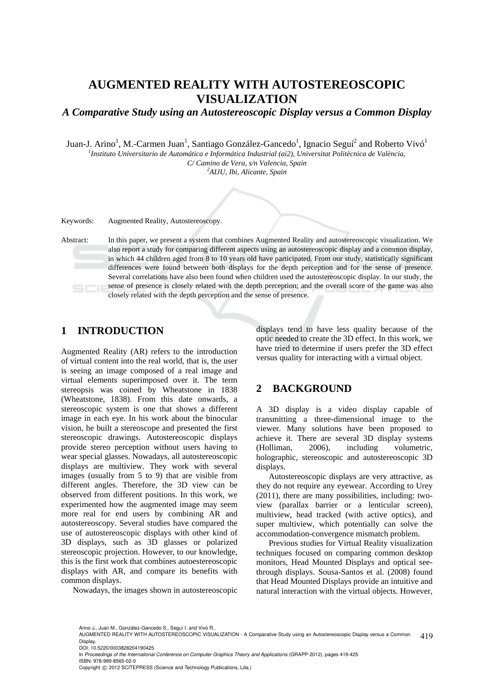## **AUGMENTED REALITY WITH AUTOSTEREOSCOPIC VISUALIZATION**

*A Comparative Study using an Autostereoscopic Display versus a Common Display* 

Juan-J. Arino<sup>1</sup>, M.-Carmen Juan<sup>1</sup>, Santiago González-Gancedo<sup>1</sup>, Ignacio Seguí<sup>2</sup> and Roberto Vivó<sup>1</sup> *1 Instituto Universitario de Automática e Informática Industrial (ai2), Universitat Politècnica de València, C/ Camino de Vera, s/n Valencia, Spain 2*

*AIJU, Ibi, Alicante, Spain* 

Keywords: Augmented Reality, Autostereoscopy.

Abstract: In this paper, we present a system that combines Augmented Reality and autostereoscopic visualization. We also report a study for comparing different aspects using an autostereoscopic display and a common display, in which 44 children aged from 8 to 10 years old have participated. From our study, statistically significant differences were found between both displays for the depth perception and for the sense of presence. Several correlations have also been found when children used the autostereoscopic display. In our study, the sense of presence is closely related with the depth perception; and the overall score of the game was also closely related with the depth perception and the sense of presence.

#### **1 INTRODUCTION**

Augmented Reality (AR) refers to the introduction of virtual content into the real world, that is, the user is seeing an image composed of a real image and virtual elements superimposed over it. The term stereopsis was coined by Wheatstone in 1838 (Wheatstone, 1838). From this date onwards, a stereoscopic system is one that shows a different image in each eye. In his work about the binocular vision, he built a stereoscope and presented the first stereoscopic drawings. Autostereoscopic displays provide stereo perception without users having to wear special glasses. Nowadays, all autostereoscopic displays are multiview. They work with several images (usually from 5 to 9) that are visible from different angles. Therefore, the 3D view can be observed from different positions. In this work, we experimented how the augmented image may seem more real for end users by combining AR and autostereoscopy. Several studies have compared the use of autostereoscopic displays with other kind of 3D displays, such as 3D glasses or polarized stereoscopic projection. However, to our knowledge, this is the first work that combines autoestereoscopic displays with AR, and compare its benefits with common displays.

Nowadays, the images shown in autostereoscopic

displays tend to have less quality because of the optic needed to create the 3D effect. In this work, we have tried to determine if users prefer the 3D effect versus quality for interacting with a virtual object.

## **2 BACKGROUND**

A 3D display is a video display capable of transmitting a three-dimensional image to the viewer. Many solutions have been proposed to achieve it. There are several 3D display systems (Holliman, 2006), including volumetric, holographic, stereoscopic and autostereoscopic 3D displays.

Autostereoscopic displays are very attractive, as they do not require any eyewear. According to Urey (2011), there are many possibilities, including: twoview (parallax barrier or a lenticular screen), multiview, head tracked (with active optics), and super multiview, which potentially can solve the accommodation-convergence mismatch problem.

Previous studies for Virtual Reality visualization techniques focused on comparing common desktop monitors, Head Mounted Displays and optical seethrough displays. Sousa-Santos et al. (2008) found that Head Mounted Displays provide an intuitive and natural interaction with the virtual objects. However,

Arino J., Juan M., González-Gancedo S., Seguí I. and Vivó R..

<sup>419</sup> AUGMENTED REALITY WITH AUTOSTEREOSCOPIC VISUALIZATION - A Comparative Study using an Autostereoscopic Display versus a Common Display.

DOI: 10.5220/0003828204190425

In *Proceedings of the International Conference on Computer Graphics Theory and Applications* (GRAPP-2012), pages 419-425 ISBN: 978-989-8565-02-0

Copyright © 2012 SCITEPRESS (Science and Technology Publications, Lda.)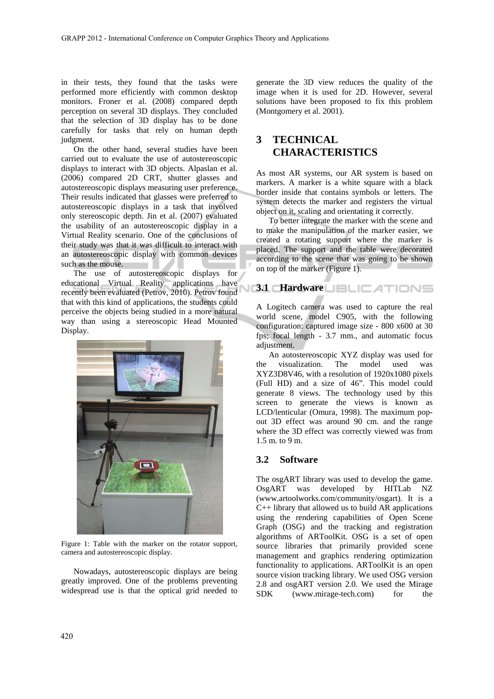in their tests, they found that the tasks were performed more efficiently with common desktop monitors. Froner et al. (2008) compared depth perception on several 3D displays. They concluded that the selection of 3D display has to be done carefully for tasks that rely on human depth judgment.

On the other hand, several studies have been carried out to evaluate the use of autostereoscopic displays to interact with 3D objects. Alpaslan et al. (2006) compared 2D CRT, shutter glasses and autostereoscopic displays measuring user preference. Their results indicated that glasses were preferred to autostereoscopic displays in a task that involved only stereoscopic depth. Jin et al. (2007) evaluated the usability of an autostereoscopic display in a Virtual Reality scenario. One of the conclusions of their study was that it was difficult to interact with an autostereoscopic display with common devices such as the mouse.

The use of autostereoscopic displays for educational Virtual Reality applications have recently been evaluated (Petrov, 2010). Petrov found that with this kind of applications, the students could perceive the objects being studied in a more natural way than using a stereoscopic Head Mounted Display.



Figure 1: Table with the marker on the rotator support, camera and autostereoscopic display.

Nowadays, autostereoscopic displays are being greatly improved. One of the problems preventing widespread use is that the optical grid needed to

generate the 3D view reduces the quality of the image when it is used for 2D. However, several solutions have been proposed to fix this problem (Montgomery et al. 2001).

## **3 TECHNICAL CHARACTERISTICS**

As most AR systems, our AR system is based on markers. A marker is a white square with a black border inside that contains symbols or letters. The system detects the marker and registers the virtual object on it, scaling and orientating it correctly.

To better integrate the marker with the scene and to make the manipulation of the marker easier, we created a rotating support where the marker is placed. The support and the table were decorated according to the scene that was going to be shown on top of the marker (Figure 1).

## **3.1 Hardware**

A Logitech camera was used to capture the real world scene, model C905, with the following configuration: captured image size - 800 x600 at 30 fps; focal length - 3.7 mm., and automatic focus adjustment.

An autostereoscopic XYZ display was used for the visualization. The model used was XYZ3D8V46, with a resolution of 1920x1080 pixels (Full HD) and a size of 46". This model could generate 8 views. The technology used by this screen to generate the views is known as LCD/lenticular (Omura, 1998). The maximum popout 3D effect was around 90 cm. and the range where the 3D effect was correctly viewed was from 1.5 m. to 9 m.

#### **3.2 Software**

The osgART library was used to develop the game. OsgART was developed by HITLab NZ (www.artoolworks.com/community/osgart). It is a  $C_{++}$  library that allowed us to build AR applications using the rendering capabilities of Open Scene Graph (OSG) and the tracking and registration algorithms of ARToolKit. OSG is a set of open source libraries that primarily provided scene management and graphics rendering optimization functionality to applications. ARToolKit is an open source vision tracking library. We used OSG version 2.8 and osgART version 2.0. We used the Mirage SDK (www.mirage-tech.com) for the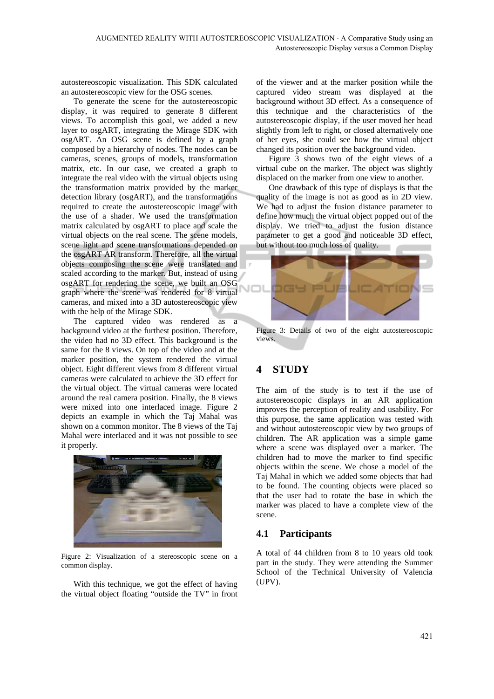autostereoscopic visualization. This SDK calculated an autostereoscopic view for the OSG scenes.

To generate the scene for the autostereoscopic display, it was required to generate 8 different views. To accomplish this goal, we added a new layer to osgART, integrating the Mirage SDK with osgART. An OSG scene is defined by a graph composed by a hierarchy of nodes. The nodes can be cameras, scenes, groups of models, transformation matrix, etc. In our case, we created a graph to integrate the real video with the virtual objects using the transformation matrix provided by the marker detection library (osgART), and the transformations required to create the autostereoscopic image with the use of a shader. We used the transformation matrix calculated by osgART to place and scale the virtual objects on the real scene. The scene models, scene light and scene transformations depended on the osgART AR transform. Therefore, all the virtual objects composing the scene were translated and scaled according to the marker. But, instead of using osgART for rendering the scene, we built an OSG graph where the scene was rendered for 8 virtual cameras, and mixed into a 3D autostereoscopic view with the help of the Mirage SDK.

The captured video was rendered as a background video at the furthest position. Therefore, the video had no 3D effect. This background is the same for the 8 views. On top of the video and at the marker position, the system rendered the virtual object. Eight different views from 8 different virtual cameras were calculated to achieve the 3D effect for the virtual object. The virtual cameras were located around the real camera position. Finally, the 8 views were mixed into one interlaced image. Figure 2 depicts an example in which the Taj Mahal was shown on a common monitor. The 8 views of the Taj Mahal were interlaced and it was not possible to see it properly.



Figure 2: Visualization of a stereoscopic scene on a common display.

With this technique, we got the effect of having the virtual object floating "outside the TV" in front

of the viewer and at the marker position while the captured video stream was displayed at the background without 3D effect. As a consequence of this technique and the characteristics of the autostereoscopic display, if the user moved her head slightly from left to right, or closed alternatively one of her eyes, she could see how the virtual object changed its position over the background video.

Figure 3 shows two of the eight views of a virtual cube on the marker. The object was slightly displaced on the marker from one view to another.

One drawback of this type of displays is that the quality of the image is not as good as in 2D view. We had to adjust the fusion distance parameter to define how much the virtual object popped out of the display. We tried to adjust the fusion distance parameter to get a good and noticeable 3D effect, but without too much loss of quality.



Figure 3: Details of two of the eight autostereoscopic views.

## **4 STUDY**

The aim of the study is to test if the use of autostereoscopic displays in an AR application improves the perception of reality and usability. For this purpose, the same application was tested with and without autostereoscopic view by two groups of children. The AR application was a simple game where a scene was displayed over a marker. The children had to move the marker to find specific objects within the scene. We chose a model of the Taj Mahal in which we added some objects that had to be found. The counting objects were placed so that the user had to rotate the base in which the marker was placed to have a complete view of the scene.

#### **4.1 Participants**

A total of 44 children from 8 to 10 years old took part in the study. They were attending the Summer School of the Technical University of Valencia (UPV).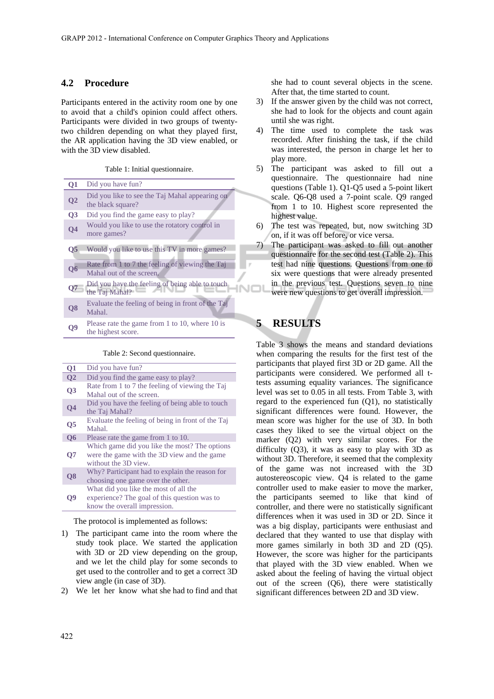#### **4.2 Procedure**

Participants entered in the activity room one by one to avoid that a child's opinion could affect others. Participants were divided in two groups of twentytwo children depending on what they played first, the AR application having the 3D view enabled, or with the 3D view disabled.

Table 1: Initial questionnaire.

| Q1                      | Did you have fun?                                                           |  |  |  |  |  |  |  |
|-------------------------|-----------------------------------------------------------------------------|--|--|--|--|--|--|--|
| $\overline{Q2}$         | Did you like to see the Taj Mahal appearing on<br>the black square?         |  |  |  |  |  |  |  |
| Q <sub>3</sub>          | Did you find the game easy to play?                                         |  |  |  |  |  |  |  |
| Q <sub>4</sub>          | Would you like to use the rotatory control in<br>more games?                |  |  |  |  |  |  |  |
| $\overline{\text{O}}$ 5 | Would you like to use this TV in more games?                                |  |  |  |  |  |  |  |
| $\overline{06}$         | Rate from 1 to 7 the feeling of viewing the Taj<br>Mahal out of the screen. |  |  |  |  |  |  |  |
| 07                      | Did you have the feeling of being able to touch<br>the Taj Mahal?           |  |  |  |  |  |  |  |
| Q <sub>8</sub>          | Evaluate the feeling of being in front of the Taj<br>Mahal.                 |  |  |  |  |  |  |  |
|                         | Please rate the game from 1 to 10, where 10 is<br>the highest score.        |  |  |  |  |  |  |  |

#### Table 2: Second questionnaire.

| Q1              | Did you have fun?                                                                                                     |  |  |  |  |  |  |
|-----------------|-----------------------------------------------------------------------------------------------------------------------|--|--|--|--|--|--|
| Q <sub>2</sub>  | Did you find the game easy to play?                                                                                   |  |  |  |  |  |  |
| $\overline{Q}3$ | Rate from 1 to 7 the feeling of viewing the Taj<br>Mahal out of the screen.                                           |  |  |  |  |  |  |
| Q <sub>4</sub>  | Did you have the feeling of being able to touch<br>the Taj Mahal?                                                     |  |  |  |  |  |  |
| Q5              | Evaluate the feeling of being in front of the Taj<br>Mahal.                                                           |  |  |  |  |  |  |
| $\overline{06}$ | Please rate the game from 1 to 10.                                                                                    |  |  |  |  |  |  |
| О7              | Which game did you like the most? The options<br>were the game with the 3D view and the game<br>without the 3D view.  |  |  |  |  |  |  |
| Q <sub>8</sub>  | Why? Participant had to explain the reason for<br>choosing one game over the other.                                   |  |  |  |  |  |  |
| D9              | What did you like the most of all the<br>experience? The goal of this question was to<br>know the overall impression. |  |  |  |  |  |  |

The protocol is implemented as follows:

- 1) The participant came into the room where the study took place. We started the application with 3D or 2D view depending on the group, and we let the child play for some seconds to get used to the controller and to get a correct 3D view angle (in case of 3D).
- 2) We let her know what she had to find and that

she had to count several objects in the scene. After that, the time started to count.

- 3) If the answer given by the child was not correct, she had to look for the objects and count again until she was right.
- 4) The time used to complete the task was recorded. After finishing the task, if the child was interested, the person in charge let her to play more.
- 5) The participant was asked to fill out a questionnaire. The questionnaire had nine questions (Table 1). Q1-Q5 used a 5-point likert scale. Q6-Q8 used a 7-point scale. Q9 ranged from 1 to 10. Highest score represented the highest value.
- 6) The test was repeated, but, now switching 3D on, if it was off before, or vice versa.
- 7) The participant was asked to fill out another questionnaire for the second test (Table 2). This test had nine questions. Questions from one to six were questions that were already presented in the previous test. Questions seven to nine were new questions to get overall impression.

## **5 RESULTS**

Table 3 shows the means and standard deviations when comparing the results for the first test of the participants that played first 3D or 2D game. All the participants were considered. We performed all ttests assuming equality variances. The significance level was set to 0.05 in all tests. From Table 3, with regard to the experienced fun (Q1), no statistically significant differences were found. However, the mean score was higher for the use of 3D. In both cases they liked to see the virtual object on the marker (Q2) with very similar scores. For the difficulty (Q3), it was as easy to play with 3D as without 3D. Therefore, it seemed that the complexity of the game was not increased with the 3D autostereoscopic view. Q4 is related to the game controller used to make easier to move the marker, the participants seemed to like that kind of controller, and there were no statistically significant differences when it was used in 3D or 2D. Since it was a big display, participants were enthusiast and declared that they wanted to use that display with more games similarly in both 3D and 2D (Q5). However, the score was higher for the participants that played with the 3D view enabled. When we asked about the feeling of having the virtual object out of the screen (Q6), there were statistically significant differences between 2D and 3D view.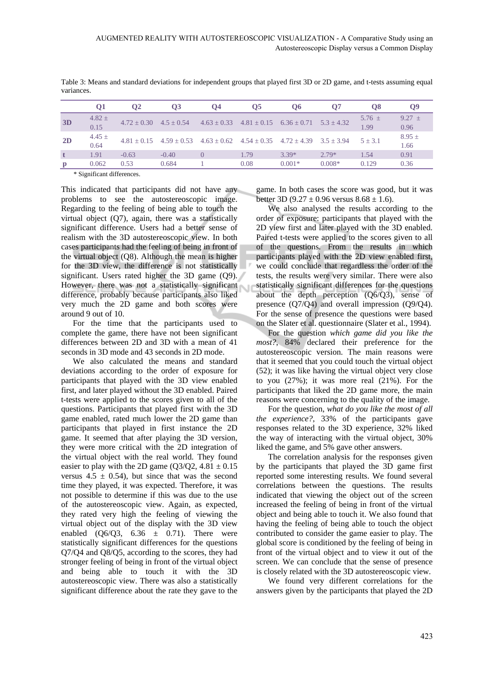|    | 01                 | <b>O2</b> | Ο3                                                                                             | 04 | Ο5   | O6       | 07           | O8                 | <b>O</b> <sup>9</sup> |
|----|--------------------|-----------|------------------------------------------------------------------------------------------------|----|------|----------|--------------|--------------------|-----------------------|
| 3D | $4.82 \pm$<br>0.15 |           | $4.72 \pm 0.30$ $4.5 \pm 0.54$ $4.63 \pm 0.33$ $4.81 \pm 0.15$ $6.36 \pm 0.71$                 |    |      |          | $5.3 + 4.32$ | $5.76 \pm$<br>1.99 | $9.27 +$<br>0.96      |
| 2D | $4.45 \pm$<br>0.64 |           | $4.81 \pm 0.15$ $4.59 \pm 0.53$ $4.63 \pm 0.62$ $4.54 \pm 0.35$ $4.72 \pm 4.39$ $3.5 \pm 3.94$ |    |      |          |              | $5 + 3.1$          | $8.95 \pm$<br>1.66    |
|    | 1.91               | $-0.63$   | $-0.40$                                                                                        |    | 1.79 | $3.39*$  | $2.79*$      | 1.54               | 0.91                  |
| D  | 0.062              | 0.53      | 0.684                                                                                          |    | 0.08 | $0.001*$ | $0.008*$     | 0.129              | 0.36                  |

Table 3: Means and standard deviations for independent groups that played first 3D or 2D game, and t-tests assuming equal variances.

\* Significant differences.

This indicated that participants did not have any problems to see the autostereoscopic image. Regarding to the feeling of being able to touch the virtual object  $(Q7)$ , again, there was a statistically significant difference. Users had a better sense of realism with the 3D autostereoscopic view. In both cases participants had the feeling of being in front of the virtual object (Q8). Although the mean is higher for the 3D view, the difference is not statistically significant. Users rated higher the 3D game (Q9). However, there was not a statistically significant difference, probably because participants also liked very much the 2D game and both scores were around 9 out of 10.

For the time that the participants used to complete the game, there have not been significant differences between 2D and 3D with a mean of 41 seconds in 3D mode and 43 seconds in 2D mode.

We also calculated the means and standard deviations according to the order of exposure for participants that played with the 3D view enabled first, and later played without the 3D enabled. Paired t-tests were applied to the scores given to all of the questions. Participants that played first with the 3D game enabled, rated much lower the 2D game than participants that played in first instance the 2D game. It seemed that after playing the 3D version, they were more critical with the 2D integration of the virtual object with the real world. They found easier to play with the 2D game ( $Q3/Q2$ , 4.81  $\pm$  0.15 versus  $4.5 \pm 0.54$ , but since that was the second time they played, it was expected. Therefore, it was not possible to determine if this was due to the use of the autostereoscopic view. Again, as expected, they rated very high the feeling of viewing the virtual object out of the display with the 3D view enabled  $(O6/O3, 6.36 \pm 0.71)$ . There were statistically significant differences for the questions Q7/Q4 and Q8/Q5, according to the scores, they had stronger feeling of being in front of the virtual object and being able to touch it with the 3D autostereoscopic view. There was also a statistically significant difference about the rate they gave to the game. In both cases the score was good, but it was better 3D (9.27  $\pm$  0.96 versus 8.68  $\pm$  1.6).

We also analysed the results according to the order of exposure: participants that played with the 2D view first and later played with the 3D enabled. Paired t-tests were applied to the scores given to all of the questions. From the results in which participants played with the 2D view enabled first, we could conclude that regardless the order of the tests, the results were very similar. There were also statistically significant differences for the questions about the depth perception (Q6/Q3), sense of presence (Q7/Q4) and overall impression (Q9/Q4). For the sense of presence the questions were based on the Slater et al. questionnaire (Slater et al., 1994).

For the question *which game did you like the most?*, 84% declared their preference for the autostereoscopic version. The main reasons were that it seemed that you could touch the virtual object (52); it was like having the virtual object very close to you (27%); it was more real (21%). For the participants that liked the 2D game more, the main reasons were concerning to the quality of the image.

For the question, *what do you like the most of all the experience?*, 33% of the participants gave responses related to the 3D experience, 32% liked the way of interacting with the virtual object, 30% liked the game, and 5% gave other answers.

The correlation analysis for the responses given by the participants that played the 3D game first reported some interesting results. We found several correlations between the questions. The results indicated that viewing the object out of the screen increased the feeling of being in front of the virtual object and being able to touch it. We also found that having the feeling of being able to touch the object contributed to consider the game easier to play. The global score is conditioned by the feeling of being in front of the virtual object and to view it out of the screen. We can conclude that the sense of presence is closely related with the 3D autostereoscopic view.

We found very different correlations for the answers given by the participants that played the 2D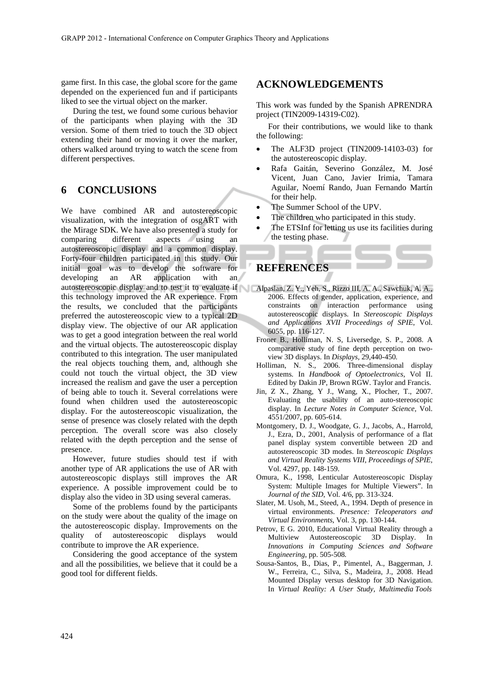game first. In this case, the global score for the game depended on the experienced fun and if participants liked to see the virtual object on the marker.

During the test, we found some curious behavior of the participants when playing with the 3D version. Some of them tried to touch the 3D object extending their hand or moving it over the marker, others walked around trying to watch the scene from different perspectives.

## **6 CONCLUSIONS**

We have combined AR and autostereoscopic visualization, with the integration of osgART with the Mirage SDK. We have also presented a study for comparing different aspects using an autostereoscopic display and a common display. Forty-four children participated in this study. Our initial goal was to develop the software for developing an AR application with an autostereoscopic display and to test it to evaluate if Alpaslan, Z. Y., Yeh, S., Rizzo III, A. A., Sawchuk, A. A., this technology improved the AR experience. From the results, we concluded that the participants preferred the autostereoscopic view to a typical 2D display view. The objective of our AR application was to get a good integration between the real world and the virtual objects. The autostereoscopic display contributed to this integration. The user manipulated the real objects touching them, and, although she could not touch the virtual object, the 3D view increased the realism and gave the user a perception of being able to touch it. Several correlations were found when children used the autostereoscopic display. For the autostereoscopic visualization, the sense of presence was closely related with the depth perception. The overall score was also closely related with the depth perception and the sense of presence.

However, future studies should test if with another type of AR applications the use of AR with autostereoscopic displays still improves the AR experience. A possible improvement could be to display also the video in 3D using several cameras.

Some of the problems found by the participants on the study were about the quality of the image on the autostereoscopic display. Improvements on the quality of autostereoscopic displays would contribute to improve the AR experience.

Considering the good acceptance of the system and all the possibilities, we believe that it could be a good tool for different fields.

#### **ACKNOWLEDGEMENTS**

This work was funded by the Spanish APRENDRA project (TIN2009-14319-C02).

For their contributions, we would like to thank the following:

- The ALF3D project (TIN2009-14103-03) for the autostereoscopic display.
- Rafa Gaitán, Severino González, M. José Vicent, Juan Cano, Javier Irimia, Tamara Aguilar, Noemí Rando, Juan Fernando Martín for their help.
- The Summer School of the UPV.
- The children who participated in this study.
- The ETSInf for letting us use its facilities during the testing phase.

### **REFERENCES**

- 2006. Effects of gender, application, experience, and constraints on interaction performance using autostereoscopic displays. In *Stereoscopic Displays and Applications XVII Proceedings of SPIE*, Vol. 6055, pp. 116-127.
- Froner B., Holliman, N. S, Liversedge, S. P., 2008. A comparative study of fine depth perception on twoview 3D displays. In *Displays,* 29,440-450*.*
- Holliman, N. S., 2006. Three-dimensional display systems. In *Handbook of Optoelectronics,* Vol II. Edited by Dakin JP, Brown RGW. Taylor and Francis.
- Jin, Z X., Zhang, Y J., Wang, X., Plocher, T., 2007. Evaluating the usability of an auto-stereoscopic display. In *Lecture Notes in Computer Science,* Vol. 4551/2007, pp. 605-614.
- Montgomery, D. J., Woodgate, G. J., Jacobs, A., Harrold, J., Ezra, D., 2001, Analysis of performance of a flat panel display system convertible between 2D and autostereoscopic 3D modes. In *Stereoscopic Displays and Virtual Reality Systems VIII, Proceedings of SPIE,*  Vol. 4297, pp. 148-159.
- Omura, K., 1998, Lenticular Autostereoscopic Display System: Multiple Images for Multiple Viewers". In *Journal of the SID*, Vol. 4/6, pp. 313-324.
- Slater, M. Usoh, M., Steed, A., 1994. Depth of presence in virtual environments. *Presence: Teleoperators and Virtual Environments*, Vol. 3, pp. 130-144.
- Petrov, E G. 2010, Educational Virtual Reality through a Multiview Autostereoscopic 3D Display. In *Innovations in Computing Sciences and Software Engineering*, pp. 505-508*.*
- Sousa-Santos, B., Dias, P., Pimentel, A., Baggerman, J. W., Ferreira, C., Silva, S., Madeira, J., 2008. Head Mounted Display versus desktop for 3D Navigation. In *Virtual Reality: A User Study, Multimedia Tools*